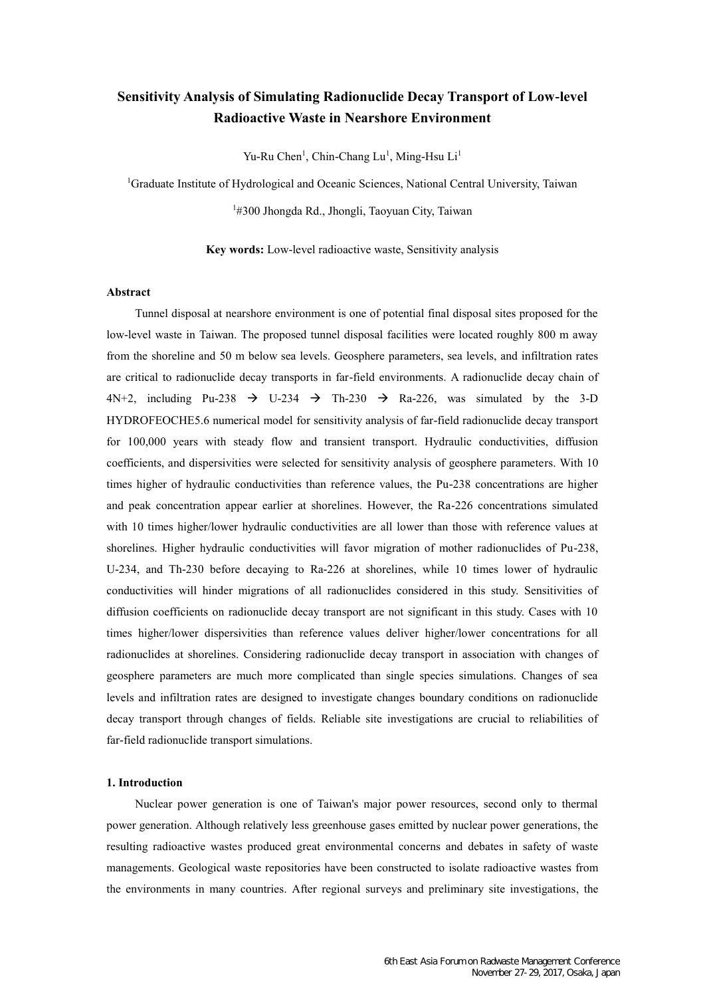# **Sensitivity Analysis of Simulating Radionuclide Decay Transport of Low-level Radioactive Waste in Nearshore Environment**

Yu-Ru Chen<sup>1</sup>, Chin-Chang Lu<sup>1</sup>, Ming-Hsu Li<sup>1</sup>

<sup>1</sup>Graduate Institute of Hydrological and Oceanic Sciences, National Central University, Taiwan

<sup>1</sup>#300 Jhongda Rd., Jhongli, Taoyuan City, Taiwan

**Key words:** Low-level radioactive waste, Sensitivity analysis

## **Abstract**

Tunnel disposal at nearshore environment is one of potential final disposal sites proposed for the low-level waste in Taiwan. The proposed tunnel disposal facilities were located roughly 800 m away from the shoreline and 50 m below sea levels. Geosphere parameters, sea levels, and infiltration rates are critical to radionuclide decay transports in far-field environments. A radionuclide decay chain of 4N+2, including Pu-238  $\rightarrow$  U-234  $\rightarrow$  Th-230  $\rightarrow$  Ra-226, was simulated by the 3-D HYDROFEOCHE5.6 numerical model for sensitivity analysis of far-field radionuclide decay transport for 100,000 years with steady flow and transient transport. Hydraulic conductivities, diffusion coefficients, and dispersivities were selected for sensitivity analysis of geosphere parameters. With 10 times higher of hydraulic conductivities than reference values, the Pu-238 concentrations are higher and peak concentration appear earlier at shorelines. However, the Ra-226 concentrations simulated with 10 times higher/lower hydraulic conductivities are all lower than those with reference values at shorelines. Higher hydraulic conductivities will favor migration of mother radionuclides of Pu-238, U-234, and Th-230 before decaying to Ra-226 at shorelines, while 10 times lower of hydraulic conductivities will hinder migrations of all radionuclides considered in this study. Sensitivities of diffusion coefficients on radionuclide decay transport are not significant in this study. Cases with 10 times higher/lower dispersivities than reference values deliver higher/lower concentrations for all radionuclides at shorelines. Considering radionuclide decay transport in association with changes of geosphere parameters are much more complicated than single species simulations. Changes of sea levels and infiltration rates are designed to investigate changes boundary conditions on radionuclide decay transport through changes of fields. Reliable site investigations are crucial to reliabilities of far-field radionuclide transport simulations.

#### **1. Introduction**

Nuclear power generation is one of Taiwan's major power resources, second only to thermal power generation. Although relatively less greenhouse gases emitted by nuclear power generations, the resulting radioactive wastes produced great environmental concerns and debates in safety of waste managements. Geological waste repositories have been constructed to isolate radioactive wastes from the environments in many countries. After regional surveys and preliminary site investigations, the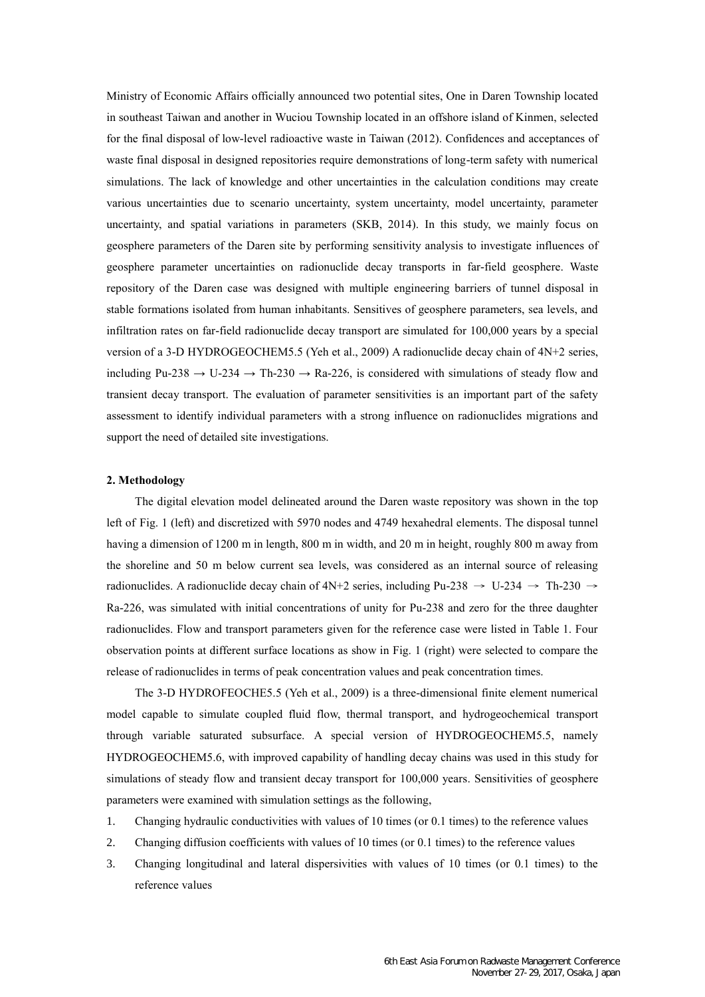Ministry of Economic Affairs officially announced two potential sites, One in Daren Township located in southeast Taiwan and another in Wuciou Township located in an offshore island of Kinmen, selected for the final disposal of low-level radioactive waste in Taiwan (2012). Confidences and acceptances of waste final disposal in designed repositories require demonstrations of long-term safety with numerical simulations. The lack of knowledge and other uncertainties in the calculation conditions may create various uncertainties due to scenario uncertainty, system uncertainty, model uncertainty, parameter uncertainty, and spatial variations in parameters (SKB, 2014). In this study, we mainly focus on geosphere parameters of the Daren site by performing sensitivity analysis to investigate influences of geosphere parameter uncertainties on radionuclide decay transports in far-field geosphere. Waste repository of the Daren case was designed with multiple engineering barriers of tunnel disposal in stable formations isolated from human inhabitants. Sensitives of geosphere parameters, sea levels, and infiltration rates on far-field radionuclide decay transport are simulated for 100,000 years by a special version of a 3-D HYDROGEOCHEM5.5 (Yeh et al., 2009) A radionuclide decay chain of 4N+2 series, including Pu-238  $\rightarrow$  U-234  $\rightarrow$  Th-230  $\rightarrow$  Ra-226, is considered with simulations of steady flow and transient decay transport. The evaluation of parameter sensitivities is an important part of the safety assessment to identify individual parameters with a strong influence on radionuclides migrations and support the need of detailed site investigations.

#### **2. Methodology**

The digital elevation model delineated around the Daren waste repository was shown in the top left of Fig. 1 (left) and discretized with 5970 nodes and 4749 hexahedral elements. The disposal tunnel having a dimension of 1200 m in length, 800 m in width, and 20 m in height, roughly 800 m away from the shoreline and 50 m below current sea levels, was considered as an internal source of releasing radionuclides. A radionuclide decay chain of 4N+2 series, including Pu-238  $\rightarrow$  U-234  $\rightarrow$  Th-230  $\rightarrow$ Ra-226, was simulated with initial concentrations of unity for Pu-238 and zero for the three daughter radionuclides. Flow and transport parameters given for the reference case were listed in Table 1. Four observation points at different surface locations as show in Fig. 1 (right) were selected to compare the release of radionuclides in terms of peak concentration values and peak concentration times.

The 3-D HYDROFEOCHE5.5 (Yeh et al., 2009) is a three-dimensional finite element numerical model capable to simulate coupled fluid flow, thermal transport, and hydrogeochemical transport through variable saturated subsurface. A special version of HYDROGEOCHEM5.5, namely HYDROGEOCHEM5.6, with improved capability of handling decay chains was used in this study for simulations of steady flow and transient decay transport for 100,000 years. Sensitivities of geosphere parameters were examined with simulation settings as the following,

- 1. Changing hydraulic conductivities with values of 10 times (or 0.1 times) to the reference values
- 2. Changing diffusion coefficients with values of 10 times (or 0.1 times) to the reference values
- 3. Changing longitudinal and lateral dispersivities with values of 10 times (or 0.1 times) to the reference values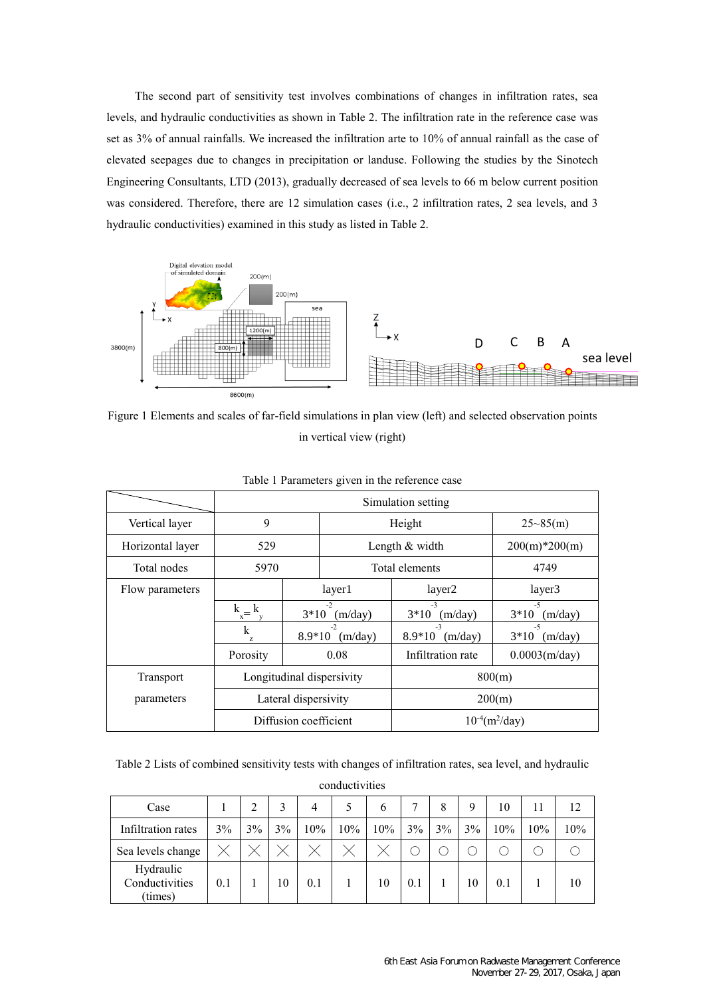The second part of sensitivity test involves combinations of changes in infiltration rates, sea levels, and hydraulic conductivities as shown in Table 2. The infiltration rate in the reference case was set as 3% of annual rainfalls. We increased the infiltration arte to 10% of annual rainfall as the case of elevated seepages due to changes in precipitation or landuse. Following the studies by the Sinotech Engineering Consultants, LTD (2013), gradually decreased of sea levels to 66 m below current position was considered. Therefore, there are 12 simulation cases (i.e., 2 infiltration rates, 2 sea levels, and 3 hydraulic conductivities) examined in this study as listed in Table 2.



Figure 1 Elements and scales of far-field simulations in plan view (left) and selected observation points in vertical view (right)

|                  | Simulation setting     |                       |                           |                                 |                           |  |  |  |  |  |
|------------------|------------------------|-----------------------|---------------------------|---------------------------------|---------------------------|--|--|--|--|--|
| Vertical layer   | 9                      |                       |                           | Height                          | $25 - 85(m)$              |  |  |  |  |  |
| Horizontal layer | 529                    |                       |                           | Length & width                  | $200(m)*200(m)$           |  |  |  |  |  |
| Total nodes      | 5970                   |                       |                           | Total elements                  | 4749                      |  |  |  |  |  |
| Flow parameters  |                        |                       | layer1                    | layer2                          | layer3                    |  |  |  |  |  |
|                  | $k_{\perp}$<br>$x^{-}$ | $3*10$                | $-2$<br>(m/day)           | $-3$<br>$3*10$<br>(m/day)       | $-5$<br>$3*10$<br>(m/day) |  |  |  |  |  |
|                  | k<br>Z.                | $8.9*10$              | $-2$<br>(m/day)           | $-3$<br>$8.9*10$<br>(m/day)     | $-5$<br>$3*10$<br>(m/day) |  |  |  |  |  |
|                  | Porosity               |                       | 0.08                      | Infiltration rate               | $0.0003$ (m/day)          |  |  |  |  |  |
| Transport        |                        |                       | Longitudinal dispersivity | 800(m)                          |                           |  |  |  |  |  |
| parameters       |                        | Lateral dispersivity  |                           | 200(m)                          |                           |  |  |  |  |  |
|                  |                        | Diffusion coefficient |                           | $10^{-4}$ (m <sup>2</sup> /day) |                           |  |  |  |  |  |

## Table 1 Parameters given in the reference case

Table 2 Lists of combined sensitivity tests with changes of infiltration rates, sea level, and hydraulic

conductivities

| Case                                   |     | $\mathcal{D}$ |    | 4   |     | b   |     | 8  | 9  | 10  | 11  |     |
|----------------------------------------|-----|---------------|----|-----|-----|-----|-----|----|----|-----|-----|-----|
| Infiltration rates                     | 3%  | 3%            | 3% | 10% | 10% | 10% | 3%  | 3% | 3% | 10% | 10% | 10% |
| Sea levels change                      |     |               |    |     |     |     |     |    |    |     |     |     |
| Hydraulic<br>Conductivities<br>(times) | 0.1 |               | 10 | 0.1 |     | 10  | 0.1 |    | 10 | 0.1 |     | 10  |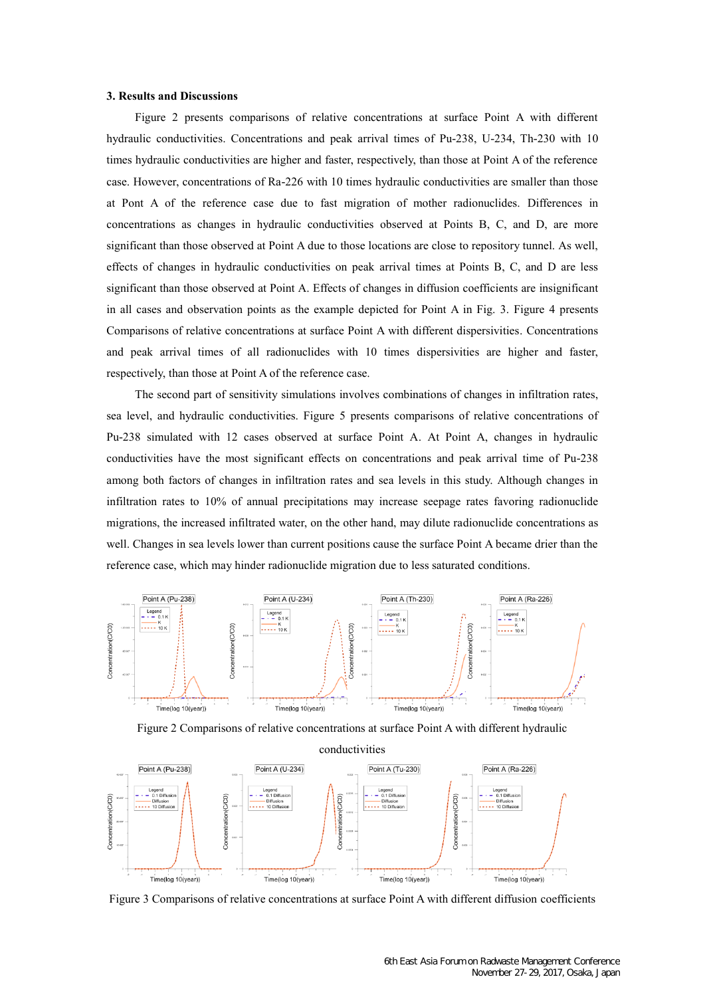#### **3. Results and Discussions**

Figure 2 presents comparisons of relative concentrations at surface Point A with different hydraulic conductivities. Concentrations and peak arrival times of Pu-238, U-234, Th-230 with 10 times hydraulic conductivities are higher and faster, respectively, than those at Point A of the reference case. However, concentrations of Ra-226 with 10 times hydraulic conductivities are smaller than those at Pont A of the reference case due to fast migration of mother radionuclides. Differences in concentrations as changes in hydraulic conductivities observed at Points B, C, and D, are more significant than those observed at Point A due to those locations are close to repository tunnel. As well, effects of changes in hydraulic conductivities on peak arrival times at Points B, C, and D are less significant than those observed at Point A. Effects of changes in diffusion coefficients are insignificant in all cases and observation points as the example depicted for Point A in Fig. 3. Figure 4 presents Comparisons of relative concentrations at surface Point A with different dispersivities. Concentrations and peak arrival times of all radionuclides with 10 times dispersivities are higher and faster, respectively, than those at Point A of the reference case.

The second part of sensitivity simulations involves combinations of changes in infiltration rates, sea level, and hydraulic conductivities. Figure 5 presents comparisons of relative concentrations of Pu-238 simulated with 12 cases observed at surface Point A. At Point A, changes in hydraulic conductivities have the most significant effects on concentrations and peak arrival time of Pu-238 among both factors of changes in infiltration rates and sea levels in this study. Although changes in infiltration rates to 10% of annual precipitations may increase seepage rates favoring radionuclide migrations, the increased infiltrated water, on the other hand, may dilute radionuclide concentrations as well. Changes in sea levels lower than current positions cause the surface Point A became drier than the reference case, which may hinder radionuclide migration due to less saturated conditions.



Figure 2 Comparisons of relative concentrations at surface Point A with different hydraulic



Figure 3 Comparisons of relative concentrations at surface Point A with different diffusion coefficients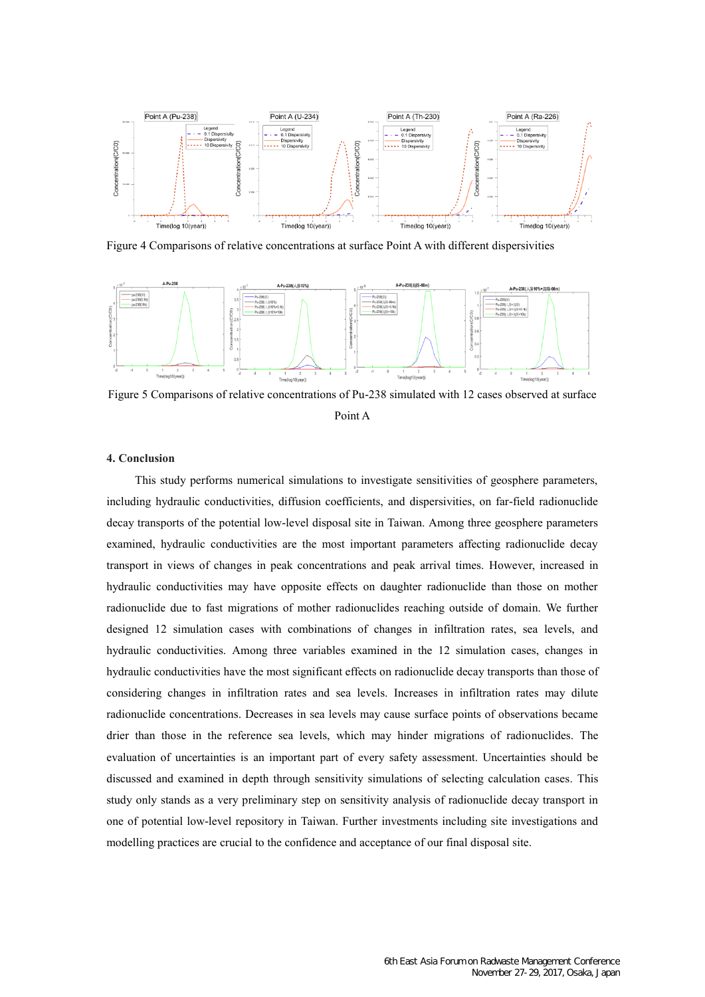

Figure 4 Comparisons of relative concentrations at surface Point A with different dispersivities



Figure 5 Comparisons of relative concentrations of Pu-238 simulated with 12 cases observed at surface Point A

### **4. Conclusion**

This study performs numerical simulations to investigate sensitivities of geosphere parameters, including hydraulic conductivities, diffusion coefficients, and dispersivities, on far-field radionuclide decay transports of the potential low-level disposal site in Taiwan. Among three geosphere parameters examined, hydraulic conductivities are the most important parameters affecting radionuclide decay transport in views of changes in peak concentrations and peak arrival times. However, increased in hydraulic conductivities may have opposite effects on daughter radionuclide than those on mother radionuclide due to fast migrations of mother radionuclides reaching outside of domain. We further designed 12 simulation cases with combinations of changes in infiltration rates, sea levels, and hydraulic conductivities. Among three variables examined in the 12 simulation cases, changes in hydraulic conductivities have the most significant effects on radionuclide decay transports than those of considering changes in infiltration rates and sea levels. Increases in infiltration rates may dilute radionuclide concentrations. Decreases in sea levels may cause surface points of observations became drier than those in the reference sea levels, which may hinder migrations of radionuclides. The evaluation of uncertainties is an important part of every safety assessment. Uncertainties should be discussed and examined in depth through sensitivity simulations of selecting calculation cases. This study only stands as a very preliminary step on sensitivity analysis of radionuclide decay transport in one of potential low-level repository in Taiwan. Further investments including site investigations and modelling practices are crucial to the confidence and acceptance of our final disposal site.